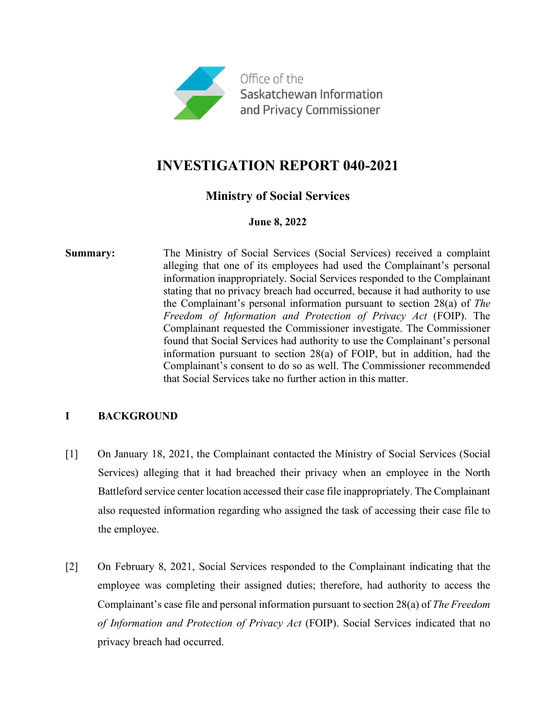

# **INVESTIGATION REPORT 040-2021**

# **Ministry of Social Services**

## **June 8, 2022**

**Summary:** The Ministry of Social Services (Social Services) received a complaint alleging that one of its employees had used the Complainant's personal information inappropriately. Social Services responded to the Complainant stating that no privacy breach had occurred, because it had authority to use the Complainant's personal information pursuant to section 28(a) of *The Freedom of Information and Protection of Privacy Act* (FOIP). The Complainant requested the Commissioner investigate. The Commissioner found that Social Services had authority to use the Complainant's personal information pursuant to section 28(a) of FOIP, but in addition, had the Complainant's consent to do so as well. The Commissioner recommended that Social Services take no further action in this matter.

# **I BACKGROUND**

- [1] On January 18, 2021, the Complainant contacted the Ministry of Social Services (Social Services) alleging that it had breached their privacy when an employee in the North Battleford service center location accessed their case file inappropriately. The Complainant also requested information regarding who assigned the task of accessing their case file to the employee.
- [2] On February 8, 2021, Social Services responded to the Complainant indicating that the employee was completing their assigned duties; therefore, had authority to access the Complainant's case file and personal information pursuant to section 28(a) of *The Freedom of Information and Protection of Privacy Act* (FOIP). Social Services indicated that no privacy breach had occurred.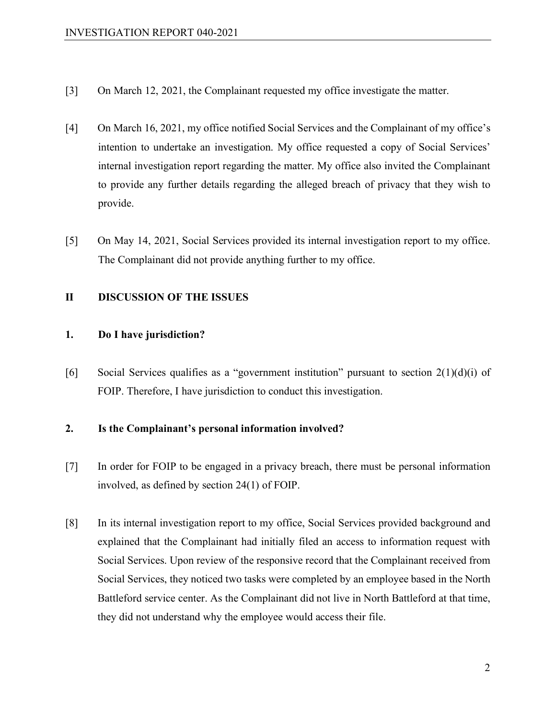- [3] On March 12, 2021, the Complainant requested my office investigate the matter.
- [4] On March 16, 2021, my office notified Social Services and the Complainant of my office's intention to undertake an investigation. My office requested a copy of Social Services' internal investigation report regarding the matter. My office also invited the Complainant to provide any further details regarding the alleged breach of privacy that they wish to provide.
- [5] On May 14, 2021, Social Services provided its internal investigation report to my office. The Complainant did not provide anything further to my office.

#### **II DISCUSSION OF THE ISSUES**

#### **1. Do I have jurisdiction?**

[6] Social Services qualifies as a "government institution" pursuant to section  $2(1)(d)(i)$  of FOIP. Therefore, I have jurisdiction to conduct this investigation.

#### **2. Is the Complainant's personal information involved?**

- [7] In order for FOIP to be engaged in a privacy breach, there must be personal information involved, as defined by section 24(1) of FOIP.
- [8] In its internal investigation report to my office, Social Services provided background and explained that the Complainant had initially filed an access to information request with Social Services. Upon review of the responsive record that the Complainant received from Social Services, they noticed two tasks were completed by an employee based in the North Battleford service center. As the Complainant did not live in North Battleford at that time, they did not understand why the employee would access their file.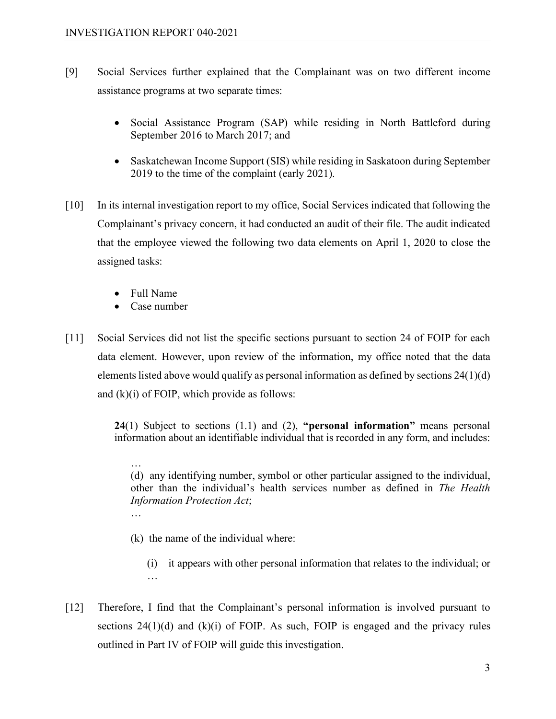- [9] Social Services further explained that the Complainant was on two different income assistance programs at two separate times:
	- Social Assistance Program (SAP) while residing in North Battleford during September 2016 to March 2017; and
	- Saskatchewan Income Support (SIS) while residing in Saskatoon during September 2019 to the time of the complaint (early 2021).
- [10] In its internal investigation report to my office, Social Services indicated that following the Complainant's privacy concern, it had conducted an audit of their file. The audit indicated that the employee viewed the following two data elements on April 1, 2020 to close the assigned tasks:
	- Full Name

…

…

- Case number
- [11] Social Services did not list the specific sections pursuant to section 24 of FOIP for each data element. However, upon review of the information, my office noted that the data elements listed above would qualify as personal information as defined by sections 24(1)(d) and  $(k)(i)$  of FOIP, which provide as follows:

**24**(1) Subject to sections (1.1) and (2), **"personal information"** means personal information about an identifiable individual that is recorded in any form, and includes:

(d) any identifying number, symbol or other particular assigned to the individual, other than the individual's health services number as defined in *The Health Information Protection Act*;

- (k) the name of the individual where:
	- (i) it appears with other personal information that relates to the individual; or …
- [12] Therefore, I find that the Complainant's personal information is involved pursuant to sections  $24(1)(d)$  and  $(k)(i)$  of FOIP. As such, FOIP is engaged and the privacy rules outlined in Part IV of FOIP will guide this investigation.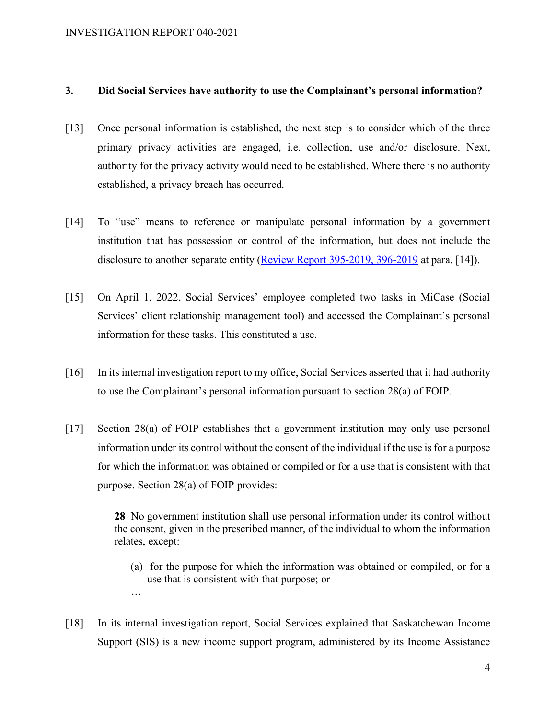…

#### **3. Did Social Services have authority to use the Complainant's personal information?**

- [13] Once personal information is established, the next step is to consider which of the three primary privacy activities are engaged, i.e. collection, use and/or disclosure. Next, authority for the privacy activity would need to be established. Where there is no authority established, a privacy breach has occurred.
- [14] To "use" means to reference or manipulate personal information by a government institution that has possession or control of the information, but does not include the disclosure to another separate entity [\(Review Report 395-2019, 396-2019](https://oipc.sk.ca/assets/lafoip-review-395-2019-396-2019.pdf) at para. [14]).
- [15] On April 1, 2022, Social Services' employee completed two tasks in MiCase (Social Services' client relationship management tool) and accessed the Complainant's personal information for these tasks. This constituted a use.
- [16] In its internal investigation report to my office, Social Services asserted that it had authority to use the Complainant's personal information pursuant to section 28(a) of FOIP.
- [17] Section 28(a) of FOIP establishes that a government institution may only use personal information under its control without the consent of the individual if the use is for a purpose for which the information was obtained or compiled or for a use that is consistent with that purpose. Section 28(a) of FOIP provides:

**28** No government institution shall use personal information under its control without the consent, given in the prescribed manner, of the individual to whom the information relates, except:

- (a) for the purpose for which the information was obtained or compiled, or for a use that is consistent with that purpose; or
- [18] In its internal investigation report, Social Services explained that Saskatchewan Income Support (SIS) is a new income support program, administered by its Income Assistance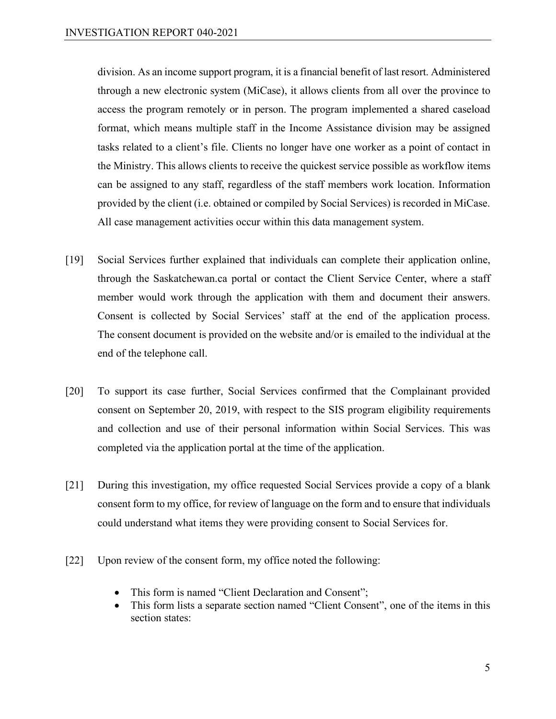division. As an income support program, it is a financial benefit of last resort. Administered through a new electronic system (MiCase), it allows clients from all over the province to access the program remotely or in person. The program implemented a shared caseload format, which means multiple staff in the Income Assistance division may be assigned tasks related to a client's file. Clients no longer have one worker as a point of contact in the Ministry. This allows clients to receive the quickest service possible as workflow items can be assigned to any staff, regardless of the staff members work location. Information provided by the client (i.e. obtained or compiled by Social Services) is recorded in MiCase. All case management activities occur within this data management system.

- [19] Social Services further explained that individuals can complete their application online, through the Saskatchewan.ca portal or contact the Client Service Center, where a staff member would work through the application with them and document their answers. Consent is collected by Social Services' staff at the end of the application process. The consent document is provided on the website and/or is emailed to the individual at the end of the telephone call.
- [20] To support its case further, Social Services confirmed that the Complainant provided consent on September 20, 2019, with respect to the SIS program eligibility requirements and collection and use of their personal information within Social Services. This was completed via the application portal at the time of the application.
- [21] During this investigation, my office requested Social Services provide a copy of a blank consent form to my office, for review of language on the form and to ensure that individuals could understand what items they were providing consent to Social Services for.
- [22] Upon review of the consent form, my office noted the following:
	- This form is named "Client Declaration and Consent";
	- This form lists a separate section named "Client Consent", one of the items in this section states: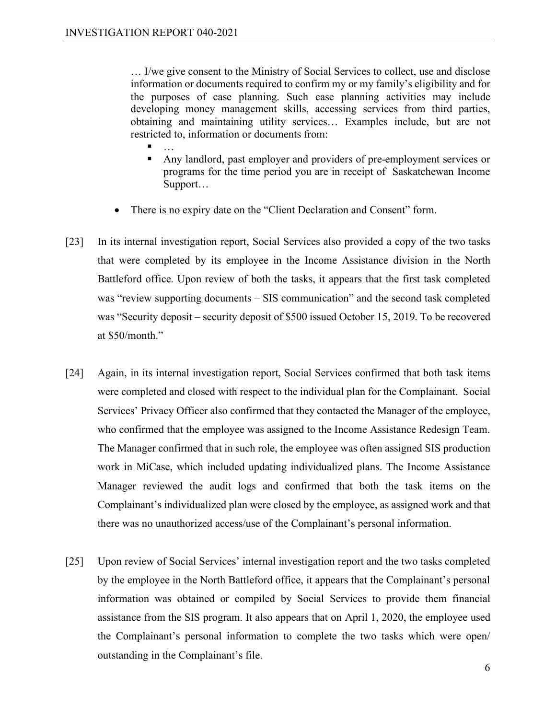… I/we give consent to the Ministry of Social Services to collect, use and disclose information or documents required to confirm my or my family's eligibility and for the purposes of case planning. Such case planning activities may include developing money management skills, accessing services from third parties, obtaining and maintaining utility services… Examples include, but are not restricted to, information or documents from:

- <sub>…</sub> Any landlord, past employer and providers of pre-employment services or programs for the time period you are in receipt of Saskatchewan Income Support…
- There is no expiry date on the "Client Declaration and Consent" form.
- [23] In its internal investigation report, Social Services also provided a copy of the two tasks that were completed by its employee in the Income Assistance division in the North Battleford office. Upon review of both the tasks, it appears that the first task completed was "review supporting documents – SIS communication" and the second task completed was "Security deposit – security deposit of \$500 issued October 15, 2019. To be recovered at \$50/month."
- [24] Again, in its internal investigation report, Social Services confirmed that both task items were completed and closed with respect to the individual plan for the Complainant. Social Services' Privacy Officer also confirmed that they contacted the Manager of the employee, who confirmed that the employee was assigned to the Income Assistance Redesign Team. The Manager confirmed that in such role, the employee was often assigned SIS production work in MiCase, which included updating individualized plans. The Income Assistance Manager reviewed the audit logs and confirmed that both the task items on the Complainant's individualized plan were closed by the employee, as assigned work and that there was no unauthorized access/use of the Complainant's personal information.
- [25] Upon review of Social Services' internal investigation report and the two tasks completed by the employee in the North Battleford office, it appears that the Complainant's personal information was obtained or compiled by Social Services to provide them financial assistance from the SIS program. It also appears that on April 1, 2020, the employee used the Complainant's personal information to complete the two tasks which were open/ outstanding in the Complainant's file.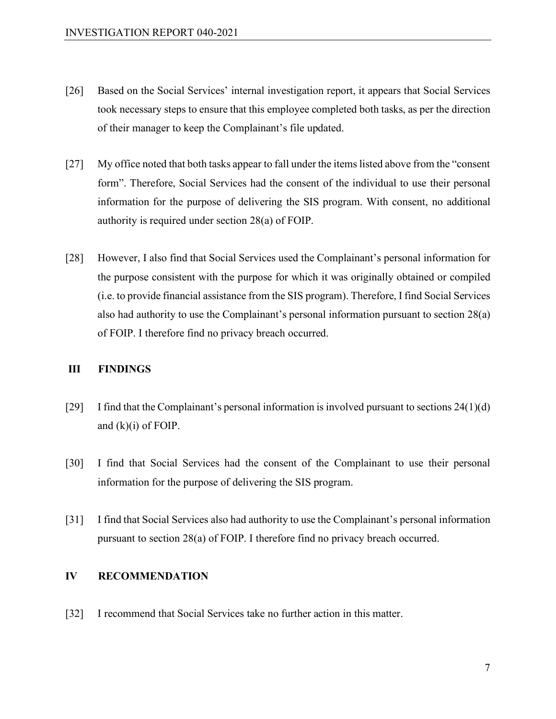- [26] Based on the Social Services' internal investigation report, it appears that Social Services took necessary steps to ensure that this employee completed both tasks, as per the direction of their manager to keep the Complainant's file updated.
- [27] My office noted that both tasks appear to fall under the items listed above from the "consent form". Therefore, Social Services had the consent of the individual to use their personal information for the purpose of delivering the SIS program. With consent, no additional authority is required under section 28(a) of FOIP.
- [28] However, I also find that Social Services used the Complainant's personal information for the purpose consistent with the purpose for which it was originally obtained or compiled (i.e. to provide financial assistance from the SIS program). Therefore, I find Social Services also had authority to use the Complainant's personal information pursuant to section 28(a) of FOIP. I therefore find no privacy breach occurred.

#### **III FINDINGS**

- [29] I find that the Complainant's personal information is involved pursuant to sections  $24(1)(d)$ and (k)(i) of FOIP.
- [30] I find that Social Services had the consent of the Complainant to use their personal information for the purpose of delivering the SIS program.
- [31] I find that Social Services also had authority to use the Complainant's personal information pursuant to section 28(a) of FOIP. I therefore find no privacy breach occurred.

## **IV RECOMMENDATION**

[32] I recommend that Social Services take no further action in this matter.